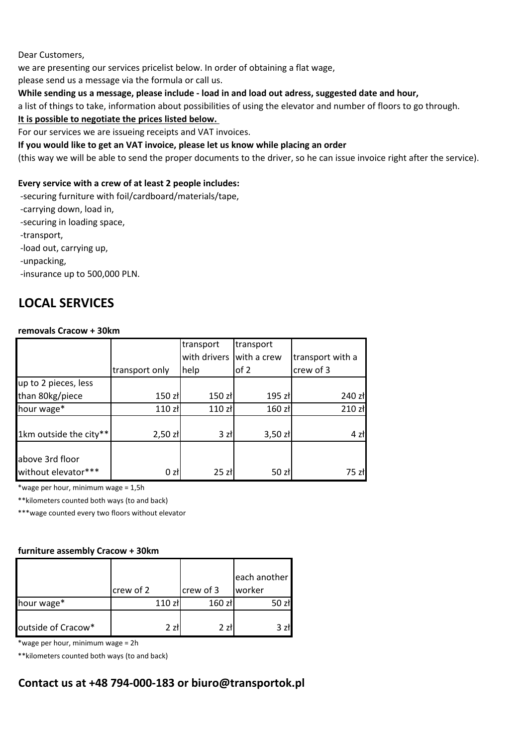Dear Customers,

we are presenting our services pricelist below. In order of obtaining a flat wage,

please send us a message via the formula or call us.

### **While sending us a message, please include - load in and load out adress, suggested date and hour,**

a list of things to take, information about possibilities of using the elevator and number of floors to go through.

### **It is possible to negotiate the prices listed below.**

For our services we are issueing receipts and VAT invoices.

#### **If you would like to get an VAT invoice, please let us know while placing an order**

(this way we will be able to send the proper documents to the driver, so he can issue invoice right after the service).

#### **Every service with a crew of at least 2 people includes:**

-securing furniture with foil/cardboard/materials/tape,

-carrying down, load in,

-securing in loading space,

-transport,

-load out, carrying up,

-unpacking,

-insurance up to 500,000 PLN.

# **LOCAL SERVICES**

#### **removals Cracow + 30km**

|                                        |                    | transport    | transport   |                  |
|----------------------------------------|--------------------|--------------|-------------|------------------|
|                                        |                    | with drivers | with a crew | transport with a |
|                                        | transport only     | help         | of 2        | crew of 3        |
| up to 2 pieces, less                   |                    |              |             |                  |
| than 80kg/piece                        | 150 zł             | $150$ zł     | 195 zł      | 240 zł           |
| hour wage*                             | 110 z <sub>t</sub> | 110 zł       | 160 zł      | 210 zł           |
| 1km outside the city**                 | $2,50$ zł          | 3 złl        | $3,50$ zł   | $4$ zł           |
| above 3rd floor<br>without elevator*** | 0 z <sub>t</sub>   | 25z          | 50 zł       | 75 zł            |

\*wage per hour, minimum wage = 1,5h

\*\*kilometers counted both ways (to and back)

\*\*\*wage counted every two floors without elevator

#### **furniture assembly Cracow + 30km**

|                    |           |                    |           | each another |
|--------------------|-----------|--------------------|-----------|--------------|
|                    | crew of 2 |                    | crew of 3 | worker       |
| hour wage*         |           | 110 z <sub>t</sub> | $160$ zł  |              |
| outside of Cracow* |           | 2 zł               | 2 zł      |              |

\*wage per hour, minimum wage = 2h

\*\*kilometers counted both ways (to and back)

# **Contact us at +48 794-000-183 or biuro@transportok.pl**